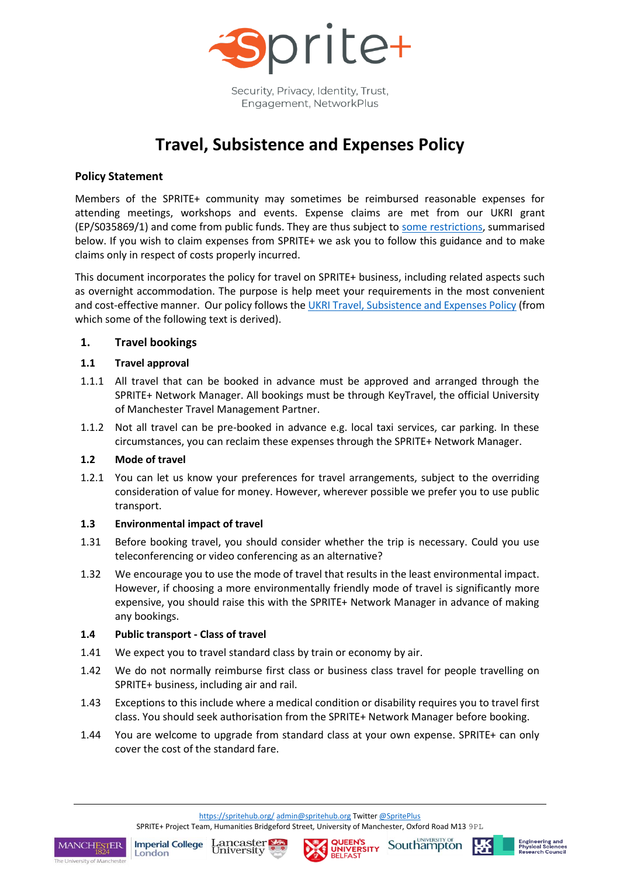

Security, Privacy, Identity, Trust, Engagement, NetworkPlus

# **Travel, Subsistence and Expenses Policy**

# **Policy Statement**

Members of the SPRITE+ community may sometimes be reimbursed reasonable expenses for attending meetings, workshops and events. Expense claims are met from our UKRI grant (EP/S035869/1) and come from public funds. They are thus subject to [some restrictions,](https://www.ukri.org/files/termsconditions/rcukukriterms/travel-subsistence-and-expenses-pdf/) summarised below. If you wish to claim expenses from SPRITE+ we ask you to follow this guidance and to make claims only in respect of costs properly incurred.

This document incorporates the policy for travel on SPRITE+ business, including related aspects such as overnight accommodation. The purpose is help meet your requirements in the most convenient and cost-effective manner. Our policy follows the [UKRI Travel, Subsistence and Expenses Policy](https://www.ukri.org/files/termsconditions/rcukukriterms/travel-subsistence-and-expenses-pdf/) (from which some of the following text is derived).

## **1. Travel bookings**

## **1.1 Travel approval**

- 1.1.1 All travel that can be booked in advance must be approved and arranged through the SPRITE+ Network Manager. All bookings must be through KeyTravel, the official University of Manchester Travel Management Partner.
- 1.1.2 Not all travel can be pre-booked in advance e.g. local taxi services, car parking. In these circumstances, you can reclaim these expenses through the SPRITE+ Network Manager.

#### **1.2 Mode of travel**

1.2.1 You can let us know your preferences for travel arrangements, subject to the overriding consideration of value for money. However, wherever possible we prefer you to use public transport.

#### **1.3 Environmental impact of travel**

- 1.31 Before booking travel, you should consider whether the trip is necessary. Could you use teleconferencing or video conferencing as an alternative?
- 1.32 We encourage you to use the mode of travel that results in the least environmental impact. However, if choosing a more environmentally friendly mode of travel is significantly more expensive, you should raise this with the SPRITE+ Network Manager in advance of making any bookings.

#### **1.4 Public transport - Class of travel**

- 1.41 We expect you to travel standard class by train or economy by air.
- 1.42 We do not normally reimburse first class or business class travel for people travelling on SPRITE+ business, including air and rail.
- 1.43 Exceptions to this include where a medical condition or disability requires you to travel first class. You should seek authorisation from the SPRITE+ Network Manager before booking.
- 1.44 You are welcome to upgrade from standard class at your own expense. SPRITE+ can only cover the cost of the standard fare.

<https://spritehub.org/> [admin@spritehub.org](mailto:admin@spritehub.org) Twitte[r @SpritePlus](https://twitter.com/spriteplus) SPRITE+ Project Team, Humanities Bridgeford Street, University of Manchester, Oxford Road M13 9PL